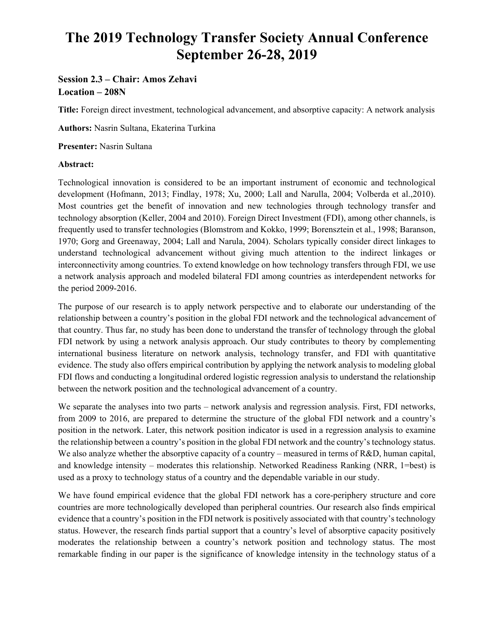# **The 2019 Technology Transfer Society Annual Conference September 26-28, 2019**

# **Session 2.3 – Chair: Amos Zehavi Location – 208N**

**Title:** Foreign direct investment, technological advancement, and absorptive capacity: A network analysis

**Authors:** Nasrin Sultana, Ekaterina Turkina

**Presenter:** Nasrin Sultana

### **Abstract:**

Technological innovation is considered to be an important instrument of economic and technological development (Hofmann, 2013; Findlay, 1978; Xu, 2000; Lall and Narulla, 2004; Volberda et al.,2010). Most countries get the benefit of innovation and new technologies through technology transfer and technology absorption (Keller, 2004 and 2010). Foreign Direct Investment (FDI), among other channels, is frequently used to transfer technologies (Blomstrom and Kokko, 1999; Borensztein et al., 1998; Baranson, 1970; Gorg and Greenaway, 2004; Lall and Narula, 2004). Scholars typically consider direct linkages to understand technological advancement without giving much attention to the indirect linkages or interconnectivity among countries. To extend knowledge on how technology transfers through FDI, we use a network analysis approach and modeled bilateral FDI among countries as interdependent networks for the period 2009-2016.

The purpose of our research is to apply network perspective and to elaborate our understanding of the relationship between a country's position in the global FDI network and the technological advancement of that country. Thus far, no study has been done to understand the transfer of technology through the global FDI network by using a network analysis approach. Our study contributes to theory by complementing international business literature on network analysis, technology transfer, and FDI with quantitative evidence. The study also offers empirical contribution by applying the network analysis to modeling global FDI flows and conducting a longitudinal ordered logistic regression analysis to understand the relationship between the network position and the technological advancement of a country.

We separate the analyses into two parts – network analysis and regression analysis. First, FDI networks, from 2009 to 2016, are prepared to determine the structure of the global FDI network and a country's position in the network. Later, this network position indicator is used in a regression analysis to examine the relationship between a country's position in the global FDI network and the country's technology status. We also analyze whether the absorptive capacity of a country – measured in terms of R&D, human capital, and knowledge intensity – moderates this relationship. Networked Readiness Ranking (NRR, 1=best) is used as a proxy to technology status of a country and the dependable variable in our study.

We have found empirical evidence that the global FDI network has a core-periphery structure and core countries are more technologically developed than peripheral countries. Our research also finds empirical evidence that a country's position in the FDI network is positively associated with that country's technology status. However, the research finds partial support that a country's level of absorptive capacity positively moderates the relationship between a country's network position and technology status. The most remarkable finding in our paper is the significance of knowledge intensity in the technology status of a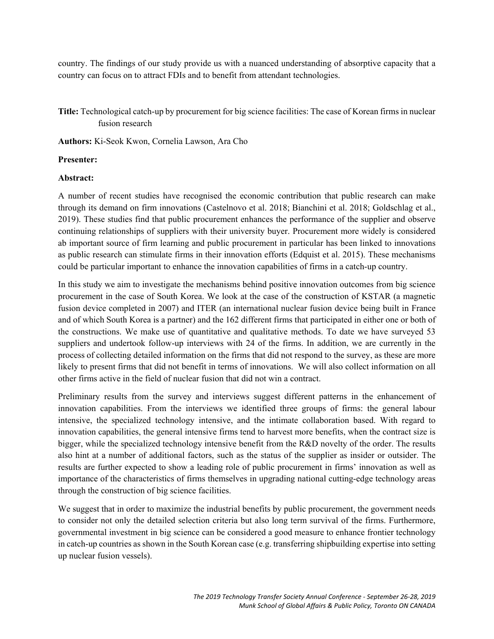country. The findings of our study provide us with a nuanced understanding of absorptive capacity that a country can focus on to attract FDIs and to benefit from attendant technologies.

## **Title:** Technological catch-up by procurement for big science facilities: The case of Korean firms in nuclear fusion research

**Authors:** Ki-Seok Kwon, Cornelia Lawson, Ara Cho

#### **Presenter:**

#### **Abstract:**

A number of recent studies have recognised the economic contribution that public research can make through its demand on firm innovations (Castelnovo et al. 2018; Bianchini et al. 2018; Goldschlag et al., 2019). These studies find that public procurement enhances the performance of the supplier and observe continuing relationships of suppliers with their university buyer. Procurement more widely is considered ab important source of firm learning and public procurement in particular has been linked to innovations as public research can stimulate firms in their innovation efforts (Edquist et al. 2015). These mechanisms could be particular important to enhance the innovation capabilities of firms in a catch-up country.

In this study we aim to investigate the mechanisms behind positive innovation outcomes from big science procurement in the case of South Korea. We look at the case of the construction of KSTAR (a magnetic fusion device completed in 2007) and ITER (an international nuclear fusion device being built in France and of which South Korea is a partner) and the 162 different firms that participated in either one or both of the constructions. We make use of quantitative and qualitative methods. To date we have surveyed 53 suppliers and undertook follow-up interviews with 24 of the firms. In addition, we are currently in the process of collecting detailed information on the firms that did not respond to the survey, as these are more likely to present firms that did not benefit in terms of innovations. We will also collect information on all other firms active in the field of nuclear fusion that did not win a contract.

Preliminary results from the survey and interviews suggest different patterns in the enhancement of innovation capabilities. From the interviews we identified three groups of firms: the general labour intensive, the specialized technology intensive, and the intimate collaboration based. With regard to innovation capabilities, the general intensive firms tend to harvest more benefits, when the contract size is bigger, while the specialized technology intensive benefit from the R&D novelty of the order. The results also hint at a number of additional factors, such as the status of the supplier as insider or outsider. The results are further expected to show a leading role of public procurement in firms' innovation as well as importance of the characteristics of firms themselves in upgrading national cutting-edge technology areas through the construction of big science facilities.

We suggest that in order to maximize the industrial benefits by public procurement, the government needs to consider not only the detailed selection criteria but also long term survival of the firms. Furthermore, governmental investment in big science can be considered a good measure to enhance frontier technology in catch-up countries as shown in the South Korean case (e.g. transferring shipbuilding expertise into setting up nuclear fusion vessels).